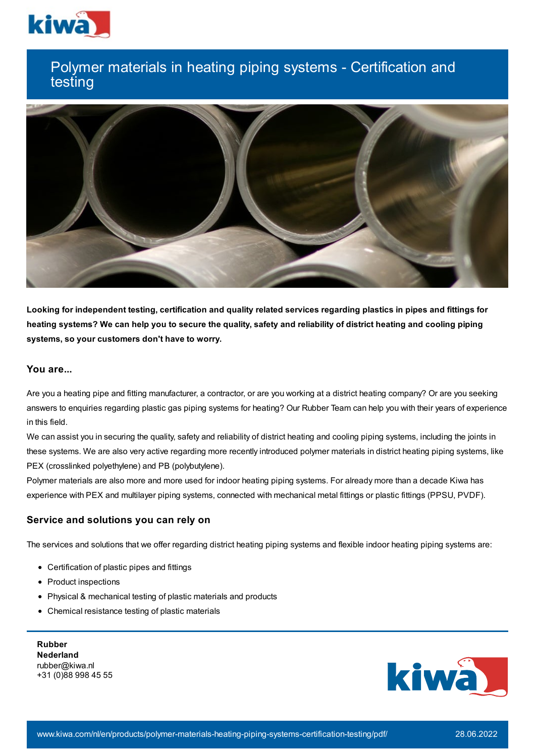

# Polymer materials in heating piping systems - Certification and testing



Looking for independent testing, certification and quality related services regarding plastics in pipes and fittings for heating systems? We can help you to secure the quality, safety and reliability of district heating and cooling piping **systems, so your customers don't have to worry.**

# **You are...**

Are you a heating pipe and fitting manufacturer, a contractor, or are you working at a district heating company? Or are you seeking answers to enquiries regarding plastic gas piping systems for heating? Our Rubber Team can help you with their years of experience in this field.

We can assist you in securing the quality, safety and reliability of district heating and cooling piping systems, including the joints in these systems. We are also very active regarding more recently introduced polymer materials in district heating piping systems, like PEX (crosslinked polyethylene) and PB (polybutylene).

Polymer materials are also more and more used for indoor heating piping systems. For already more than a decade Kiwa has experience with PEX and multilayer piping systems, connected with mechanical metal fittings or plastic fittings (PPSU, PVDF).

## **Service and solutions you can rely on**

The services and solutions that we offer regarding district heating piping systems and flexible indoor heating piping systems are:

- Certification of plastic pipes and fittings
- Product inspections
- Physical & mechanical testing of plastic materials and products
- Chemical resistance testing of plastic materials

**Rubber Nederland** rubber@kiwa.nl +31 (0)88 998 45 55